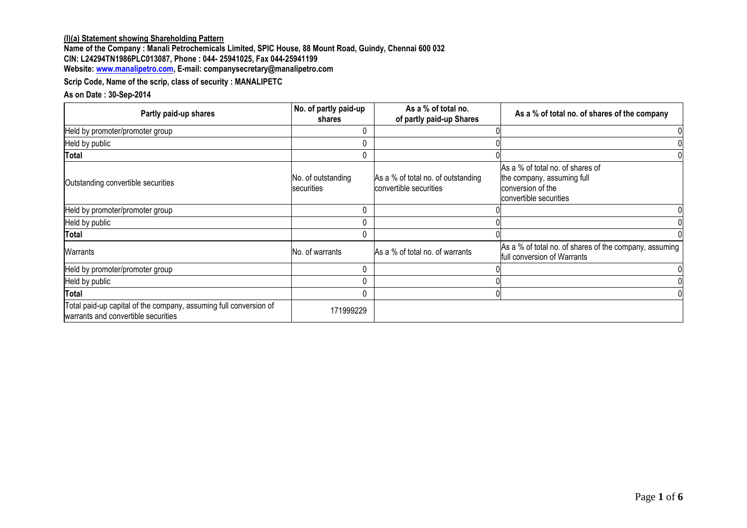## **(I)(a) Statement showing Shareholding Pattern**

**Name of the Company : Manali Petrochemicals Limited, SPIC House, 88 Mount Road, Guindy, Chennai 600 032 CIN: L24294TN1986PLC013087, Phone : 044- 25941025, Fax 044-25941199 Website[: www.manalipetro.com,](http://www.manalipetro.com/) E-mail: companysecretary@manalipetro.com**

**Scrip Code, Name of the scrip, class of security : MANALIPETC**

#### **As on Date : 30-Sep-2014**

| Partly paid-up shares                                                                                    | No. of partly paid-up<br>shares  | As a % of total no.<br>of partly paid-up Shares              | As a % of total no. of shares of the company                                                                  |
|----------------------------------------------------------------------------------------------------------|----------------------------------|--------------------------------------------------------------|---------------------------------------------------------------------------------------------------------------|
| Held by promoter/promoter group                                                                          |                                  |                                                              |                                                                                                               |
| Held by public                                                                                           |                                  |                                                              |                                                                                                               |
| <b>Total</b>                                                                                             | 0                                |                                                              |                                                                                                               |
| Outstanding convertible securities                                                                       | No. of outstanding<br>securities | As a % of total no. of outstanding<br>convertible securities | As a % of total no. of shares of<br>the company, assuming full<br>conversion of the<br>convertible securities |
| Held by promoter/promoter group                                                                          | 0                                |                                                              |                                                                                                               |
| Held by public                                                                                           |                                  |                                                              |                                                                                                               |
| <b>Total</b>                                                                                             | 0                                |                                                              |                                                                                                               |
| Warrants                                                                                                 | No. of warrants                  | As a % of total no. of warrants                              | As a % of total no. of shares of the company, assuming<br>full conversion of Warrants                         |
| Held by promoter/promoter group                                                                          | 0                                |                                                              |                                                                                                               |
| Held by public                                                                                           | 0                                |                                                              |                                                                                                               |
| <b>Total</b>                                                                                             |                                  |                                                              |                                                                                                               |
| Total paid-up capital of the company, assuming full conversion of<br>warrants and convertible securities | 171999229                        |                                                              |                                                                                                               |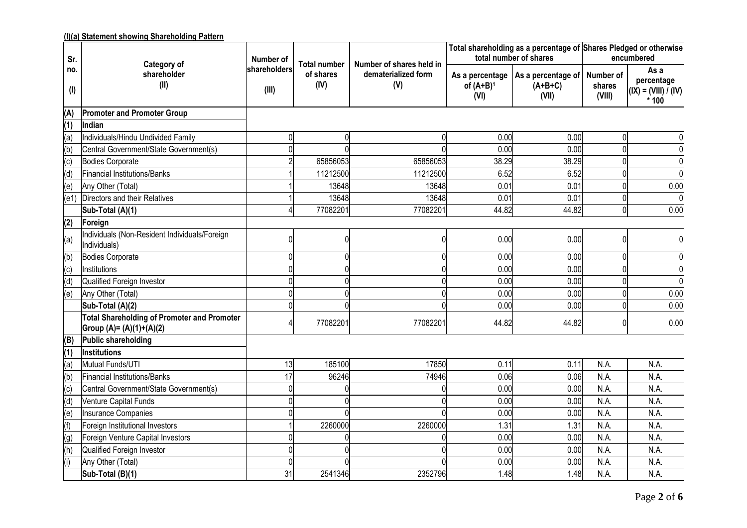# **(I)(a) Statement showing Shareholding Pattern**

| Sr.          | Category of                                                                    | Number of             | <b>Total number</b> | Number of shares held in   |                      | total number of shares                                     | Total shareholding as a percentage of Shares Pledged or otherwise<br>encumbered |                                                        |  |
|--------------|--------------------------------------------------------------------------------|-----------------------|---------------------|----------------------------|----------------------|------------------------------------------------------------|---------------------------------------------------------------------------------|--------------------------------------------------------|--|
| no.<br>$($ l | shareholder<br>(II)                                                            | shareholders<br>(III) | of shares<br>(IV)   | dematerialized form<br>(V) | of $(A+B)^1$<br>(VI) | As a percentage   As a percentage of<br>$(A+B+C)$<br>(VII) | Number of<br>shares<br>(VIII)                                                   | As a<br>percentage<br>$(IX) = (VIII) / (IV)$<br>$*100$ |  |
| (A)          | <b>Promoter and Promoter Group</b>                                             |                       |                     |                            |                      |                                                            |                                                                                 |                                                        |  |
| (1)          | Indian                                                                         |                       |                     |                            |                      |                                                            |                                                                                 |                                                        |  |
| (a)          | Individuals/Hindu Undivided Family                                             | 0                     | 0                   | O                          | 0.00                 | 0.00                                                       | $\Omega$                                                                        |                                                        |  |
| (b)          | Central Government/State Government(s)                                         |                       |                     |                            | 0.00                 | 0.00                                                       |                                                                                 |                                                        |  |
| (c)          | Bodies Corporate                                                               |                       | 65856053            | 65856053                   | 38.29                | 38.29                                                      |                                                                                 |                                                        |  |
| (d)          | Financial Institutions/Banks                                                   |                       | 11212500            | 11212500                   | 6.52                 | 6.52                                                       |                                                                                 |                                                        |  |
| (e)          | Any Other (Total)                                                              |                       | 13648               | 13648                      | 0.01                 | 0.01                                                       |                                                                                 | 0.00                                                   |  |
| (e1)         | Directors and their Relatives                                                  |                       | 13648               | 13648                      | 0.01                 | 0.01                                                       |                                                                                 |                                                        |  |
|              | Sub-Total (A)(1)                                                               |                       | 77082201            | 77082201                   | 44.82                | 44.82                                                      |                                                                                 | 0.00                                                   |  |
| (2)          | Foreign                                                                        |                       |                     |                            |                      |                                                            |                                                                                 |                                                        |  |
| (a)          | Individuals (Non-Resident Individuals/Foreign<br>Individuals)                  |                       |                     |                            | 0.00                 | 0.00                                                       |                                                                                 |                                                        |  |
| (b)          | Bodies Corporate                                                               |                       |                     |                            | 0.00                 | 0.00                                                       | $\Omega$                                                                        |                                                        |  |
| (c)          | Institutions                                                                   |                       |                     |                            | 0.00                 | 0.00                                                       |                                                                                 |                                                        |  |
| (d)          | Qualified Foreign Investor                                                     |                       |                     |                            | 0.00                 | 0.00                                                       |                                                                                 |                                                        |  |
| (e)          | Any Other (Total)                                                              |                       |                     |                            | 0.00                 | 0.00                                                       |                                                                                 | 0.00                                                   |  |
|              | Sub-Total (A)(2)                                                               |                       |                     |                            | 0.00                 | 0.00                                                       |                                                                                 | 0.00                                                   |  |
|              | <b>Total Shareholding of Promoter and Promoter</b><br>Group (A)= (A)(1)+(A)(2) |                       | 77082201            | 77082201                   | 44.82                | 44.82                                                      |                                                                                 | 0.00                                                   |  |
| (B)          | Public shareholding                                                            |                       |                     |                            |                      |                                                            |                                                                                 |                                                        |  |
| (1)          | Institutions                                                                   |                       |                     |                            |                      |                                                            |                                                                                 |                                                        |  |
| (a)          | Mutual Funds/UTI                                                               | 13                    | 185100              | 17850                      | 0.11                 | 0.11                                                       | N.A.                                                                            | N.A.                                                   |  |
| (b)          | Financial Institutions/Banks                                                   | 17                    | 96246               | 74946                      | 0.06                 | 0.06                                                       | N.A.                                                                            | N.A.                                                   |  |
| (c)          | Central Government/State Government(s)                                         | U                     |                     | ∩                          | 0.00                 | 0.00                                                       | N.A.                                                                            | N.A.                                                   |  |
| (d)          | Venture Capital Funds                                                          |                       |                     | $\Omega$                   | 0.00                 | 0.00                                                       | N.A.                                                                            | N.A.                                                   |  |
| (e)          | Insurance Companies                                                            |                       |                     |                            | 0.00                 | 0.00                                                       | N.A.                                                                            | N.A.                                                   |  |
| (f)          | Foreign Institutional Investors                                                |                       | 2260000             | 2260000                    | 1.31                 | 1.31                                                       | N.A.                                                                            | N.A.                                                   |  |
| (g)          | Foreign Venture Capital Investors                                              |                       |                     |                            | 0.00                 | 0.00                                                       | N.A.                                                                            | N.A.                                                   |  |
| (h)          | Qualified Foreign Investor                                                     |                       |                     |                            | 0.00                 | 0.00                                                       | N.A.                                                                            | N.A.                                                   |  |
| (i)          | Any Other (Total)                                                              |                       |                     |                            | 0.00                 | 0.00                                                       | N.A.                                                                            | N.A.                                                   |  |
|              | Sub-Total (B)(1)                                                               | 31                    | 2541346             | 2352796                    | 1.48                 | 1.48                                                       | N.A.                                                                            | N.A.                                                   |  |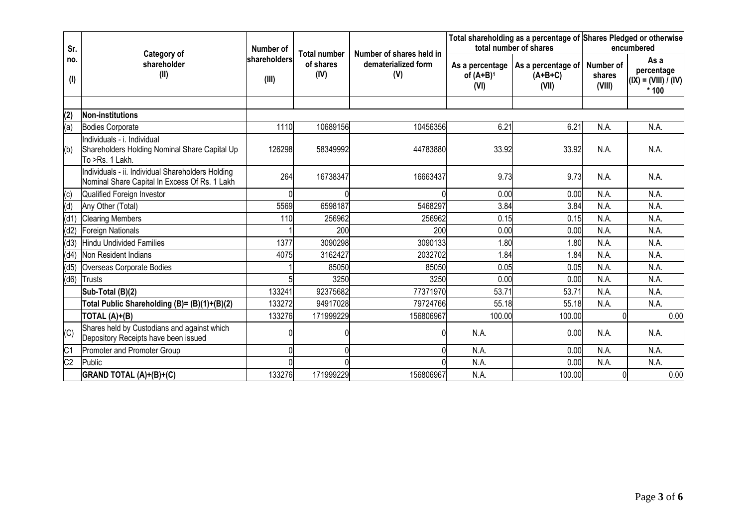| Sr.             |                                                                                                    | Number of             |                                   |                                                        |                                         | total number of shares                   | Total shareholding as a percentage of Shares Pledged or otherwise<br>encumbered |                                                          |  |
|-----------------|----------------------------------------------------------------------------------------------------|-----------------------|-----------------------------------|--------------------------------------------------------|-----------------------------------------|------------------------------------------|---------------------------------------------------------------------------------|----------------------------------------------------------|--|
| no.<br>$($ l    | Category of<br>shareholder<br>(II)                                                                 | shareholders<br>(III) | Total number<br>of shares<br>(IV) | Number of shares held in<br>dematerialized form<br>(V) | As a percentage<br>of $(A+B)^1$<br>(VI) | As a percentage of<br>$(A+B+C)$<br>(VII) | Number of<br>shares<br>(VIII)                                                   | As a<br>percentage<br>$ (IX) = (VIII) / (IV) $<br>$*100$ |  |
|                 |                                                                                                    |                       |                                   |                                                        |                                         |                                          |                                                                                 |                                                          |  |
| (2)             | Non-institutions                                                                                   |                       |                                   |                                                        |                                         |                                          |                                                                                 |                                                          |  |
| (a)             | <b>Bodies Corporate</b>                                                                            | 1110                  | 10689156                          | 10456356                                               | 6.21                                    | 6.21                                     | N.A.                                                                            | N.A.                                                     |  |
| (b)             | Individuals - i. Individual<br>Shareholders Holding Nominal Share Capital Up<br>To >Rs. 1 Lakh.    | 126298                | 58349992                          | 44783880                                               | 33.92                                   | 33.92                                    | N.A.                                                                            | N.A.                                                     |  |
|                 | Individuals - ii. Individual Shareholders Holding<br>Nominal Share Capital In Excess Of Rs. 1 Lakh | 264                   | 16738347                          | 16663437                                               | 9.73                                    | 9.73                                     | N.A.                                                                            | N.A.                                                     |  |
| (c)             | Qualified Foreign Investor                                                                         |                       |                                   |                                                        | 0.00                                    | 0.00                                     | N.A.                                                                            | N.A.                                                     |  |
| (d)             | Any Other (Total)                                                                                  | 5569                  | 6598187                           | 5468297                                                | 3.84                                    | 3.84                                     | N.A.                                                                            | N.A.                                                     |  |
| (d1)            | <b>Clearing Members</b>                                                                            | 110                   | 256962                            | 256962                                                 | 0.15                                    | 0.15                                     | N.A.                                                                            | N.A.                                                     |  |
| (d2)            | Foreign Nationals                                                                                  |                       | 200                               | 200                                                    | 0.00                                    | 0.00                                     | N.A.                                                                            | N.A.                                                     |  |
| (d3)            | <b>Hindu Undivided Families</b>                                                                    | 1377                  | 3090298                           | 3090133                                                | 1.80                                    | 1.80                                     | N.A.                                                                            | N.A.                                                     |  |
| (d4)            | Non Resident Indians                                                                               | 4075                  | 3162427                           | 2032702                                                | 1.84                                    | 1.84                                     | N.A.                                                                            | N.A.                                                     |  |
| (d5)            | Overseas Corporate Bodies                                                                          |                       | 85050                             | 85050                                                  | 0.05                                    | 0.05                                     | N.A.                                                                            | N.A.                                                     |  |
| (d6)            | Trusts                                                                                             |                       | 3250                              | 3250                                                   | 0.00                                    | 0.00                                     | N.A.                                                                            | N.A.                                                     |  |
|                 | Sub-Total (B)(2)                                                                                   | 133241                | 92375682                          | 77371970                                               | 53.71                                   | 53.71                                    | N.A.                                                                            | N.A.                                                     |  |
|                 | Total Public Shareholding (B)= (B)(1)+(B)(2)                                                       | 133272                | 94917028                          | 79724766                                               | 55.18                                   | 55.18                                    | N.A.                                                                            | N.A.                                                     |  |
|                 | TOTAL $(A)+ (B)$                                                                                   | 133276                | 171999229                         | 156806967                                              | 100.00                                  | 100.00                                   |                                                                                 | 0.00                                                     |  |
| (C)             | Shares held by Custodians and against which<br>Depository Receipts have been issued                |                       |                                   |                                                        | N.A.                                    | 0.00                                     | N.A.                                                                            | N.A.                                                     |  |
| C <sub>1</sub>  | Promoter and Promoter Group                                                                        |                       |                                   |                                                        | N.A.                                    | 0.00                                     | N.A.                                                                            | N.A.                                                     |  |
| $\overline{C2}$ | Public                                                                                             |                       |                                   |                                                        | N.A.                                    | 0.00                                     | N.A.                                                                            | N.A.                                                     |  |
|                 | GRAND TOTAL (A)+(B)+(C)                                                                            | 133276                | 171999229                         | 156806967                                              | N.A.                                    | 100.00                                   |                                                                                 | 0.00                                                     |  |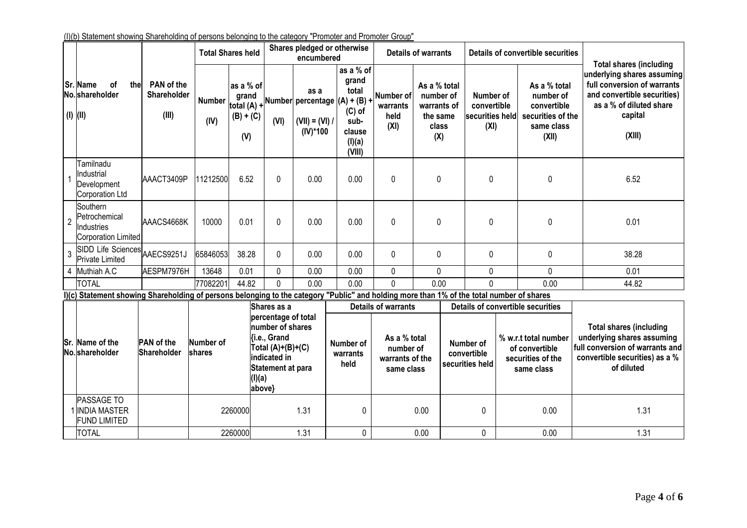|                |                                                                                                                                           |                                    |                            | <b>Total Shares held</b>                                |                                                                                                                                    | Shares pledged or otherwise<br>encumbered |                                                                                                                |                                                            | <b>Details of warrants</b>            |                             | Details of convertible securities                   |  |                                                                                      | <b>Total shares (including</b>                                                                                                                  |
|----------------|-------------------------------------------------------------------------------------------------------------------------------------------|------------------------------------|----------------------------|---------------------------------------------------------|------------------------------------------------------------------------------------------------------------------------------------|-------------------------------------------|----------------------------------------------------------------------------------------------------------------|------------------------------------------------------------|---------------------------------------|-----------------------------|-----------------------------------------------------|--|--------------------------------------------------------------------------------------|-------------------------------------------------------------------------------------------------------------------------------------------------|
|                | <b>Sr. Name</b><br><b>of</b><br>thel<br>No. shareholder<br>$(I)$ $(II)$                                                                   | PAN of the<br>Shareholder<br>(III) | <b>Number</b><br>(IV)      | as a % of<br>grand<br>total (A) +<br>$(B) + (C)$<br>(V) | (VI)                                                                                                                               | as a<br>$(VII) = (VI) /$<br>(IV)*100      | as a % of<br>grand<br>total<br>Number percentage (A) + (B) +<br>$(C)$ of<br>sub-<br>clause<br>(I)(a)<br>(VIII) | <b>Number of</b><br>warrants<br>held<br>(XI)               | As a % total<br>number of<br>the same | warrants of<br>class<br>(X) | Number of<br>convertible<br>securities held<br>(XI) |  | As a % total<br>number of<br>convertible<br>securities of the<br>same class<br>(XII) | underlying shares assuming<br>full conversion of warrants<br>and convertible securities)<br>as a % of diluted share<br>capital<br>(XIII)        |
|                | Tamilnadu<br>Industrial<br>Development<br>Corporation Ltd                                                                                 | AAACT3409P                         | 11212500                   | 6.52                                                    | 0                                                                                                                                  | 0.00                                      | 0.00                                                                                                           | 0                                                          |                                       | 0                           | 0                                                   |  | $\mathbf 0$                                                                          | 6.52                                                                                                                                            |
| $\overline{2}$ | Southern<br>Petrochemical<br>Industries<br>Corporation Limited                                                                            | AAACS4668K                         | 10000                      | 0.01                                                    | 0                                                                                                                                  | 0.00                                      | 0.00                                                                                                           | 0                                                          |                                       | 0                           | $\mathbf{0}$                                        |  | $\mathbf 0$                                                                          | 0.01                                                                                                                                            |
| 3              | SIDD Life Sciences AAECS9251J<br>Private Limited                                                                                          |                                    | 65846053                   | 38.28                                                   | 0                                                                                                                                  | 0.00                                      | 0.00                                                                                                           | 0                                                          |                                       | 0                           | 0                                                   |  | $\pmb{0}$                                                                            | 38.28                                                                                                                                           |
|                | 4 Muthiah A.C                                                                                                                             | AESPM7976H                         | 13648                      | 0.01                                                    | 0                                                                                                                                  | 0.00                                      | 0.00                                                                                                           | 0                                                          |                                       | 0                           | $\mathbf 0$                                         |  | $\mathbf 0$                                                                          | 0.01                                                                                                                                            |
|                | <b>TOTAL</b>                                                                                                                              |                                    | 77082201                   | 44.82                                                   | $\Omega$                                                                                                                           | 0.00                                      | 0.00                                                                                                           | $\Omega$                                                   | 0.00                                  |                             | $\Omega$                                            |  | 0.00                                                                                 | 44.82                                                                                                                                           |
|                | I)(c) Statement showing Shareholding of persons belonging to the category "Public" and holding more than 1% of the total number of shares |                                    |                            |                                                         |                                                                                                                                    |                                           |                                                                                                                |                                                            |                                       |                             |                                                     |  |                                                                                      |                                                                                                                                                 |
|                |                                                                                                                                           |                                    |                            |                                                         | Shares as a                                                                                                                        |                                           |                                                                                                                | <b>Details of warrants</b>                                 |                                       |                             |                                                     |  | <b>Details of convertible securities</b>                                             |                                                                                                                                                 |
|                | Sr. Name of the<br>No. shareholder                                                                                                        | <b>PAN</b> of the<br>Shareholder   | Number of<br><b>shares</b> | (l)(a)                                                  | percentage of total<br>number of shares<br>{i.e., Grand<br>Total (A)+(B)+(C)<br>indicated in<br><b>Statement at para</b><br>above} |                                           | Number of<br>warrants<br>held                                                                                  | As a % total<br>number of<br>warrants of the<br>same class |                                       |                             | Number of<br>convertible<br>securities held         |  | % w.r.t total number<br>of convertible<br>securities of the<br>same class            | <b>Total shares (including</b><br>underlying shares assuming<br>full conversion of warrants and<br>convertible securities) as a %<br>of diluted |
|                | <b>PASSAGE TO</b><br>1 INDIA MASTER<br><b>FUND LIMITED</b>                                                                                |                                    |                            | 2260000                                                 |                                                                                                                                    | 1.31                                      | $\mathbf 0$                                                                                                    |                                                            | 0.00                                  |                             | 0                                                   |  | 0.00                                                                                 | 1.31                                                                                                                                            |
|                | <b>TOTAL</b>                                                                                                                              |                                    |                            | 2260000                                                 |                                                                                                                                    | 1.31                                      | $\pmb{0}$                                                                                                      |                                                            | 0.00                                  |                             | 0                                                   |  | 0.00                                                                                 | 1.31                                                                                                                                            |

# (I)(b) Statement showing Shareholding of persons belonging to the category "Promoter and Promoter Group"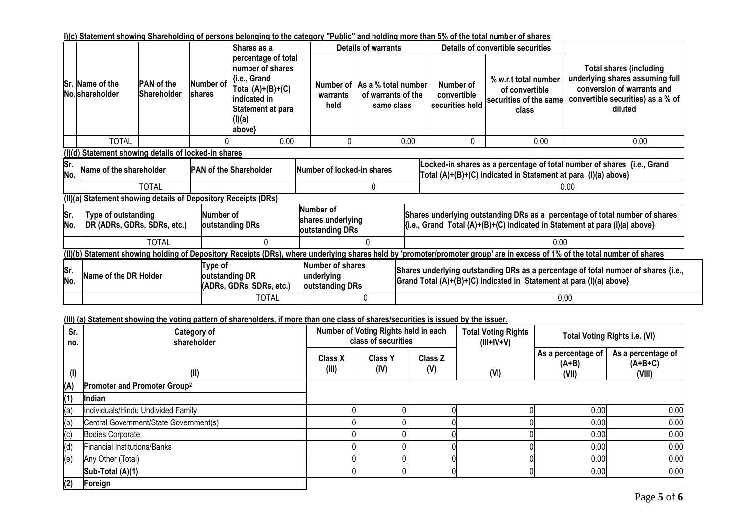### **I)(c) Statement showing Shareholding of persons belonging to the category "Public" and holding more than 5% of the total number of shares**

|            |                                                                                    |                                         |                     | lShares as a                                                                                                                                    |                               | <b>Details of warrants</b>                              |      |                                             | Details of convertible securities                                                                                                                              |                                                                                                                                                                             |  |  |  |
|------------|------------------------------------------------------------------------------------|-----------------------------------------|---------------------|-------------------------------------------------------------------------------------------------------------------------------------------------|-------------------------------|---------------------------------------------------------|------|---------------------------------------------|----------------------------------------------------------------------------------------------------------------------------------------------------------------|-----------------------------------------------------------------------------------------------------------------------------------------------------------------------------|--|--|--|
|            | Sr. Name of the<br>No. shareholder                                                 | <b>PAN</b> of the<br><b>Shareholder</b> | Number of<br>shares | percentage of total<br>number of shares<br><b>{i.e., Grand</b><br>Total $(A)+(B)+(C)$<br>indicated in<br> Statement at para<br>(I)(a)<br>above} | Number of<br>warrants<br>held | As a % total number<br>of warrants of the<br>same class |      | Number of<br>convertible<br>securities held | % w.r.t total number<br>of convertible<br>securities of the same<br>class                                                                                      | <b>Total shares (including</b><br>underlying shares assuming full<br>conversion of warrants and<br>convertible securities) as a % of<br>diluted                             |  |  |  |
|            | <b>TOTAL</b>                                                                       |                                         |                     | 0.00                                                                                                                                            | 0                             |                                                         | 0.00 | 0                                           | 0.00                                                                                                                                                           | 0.00                                                                                                                                                                        |  |  |  |
|            | (I)(d) Statement showing details of locked-in shares                               |                                         |                     |                                                                                                                                                 |                               |                                                         |      |                                             |                                                                                                                                                                |                                                                                                                                                                             |  |  |  |
| Sr.<br>No. | <b>PAN of the Shareholder</b><br>Name of the shareholder                           |                                         |                     |                                                                                                                                                 |                               | Number of locked-in shares                              |      |                                             | Locked-in shares as a percentage of total number of shares {i.e., Grand<br>Total (A)+(B)+(C) indicated in Statement at para (I)(a) above}                      |                                                                                                                                                                             |  |  |  |
|            |                                                                                    | <b>TOTAL</b>                            |                     |                                                                                                                                                 |                               |                                                         |      |                                             | 0.00                                                                                                                                                           |                                                                                                                                                                             |  |  |  |
|            | (II)(a) Statement showing details of Depository Receipts (DRs)                     |                                         |                     |                                                                                                                                                 |                               |                                                         |      |                                             |                                                                                                                                                                |                                                                                                                                                                             |  |  |  |
| Sr.<br>No. | Type of outstanding<br>Number of<br>DR (ADRs, GDRs, SDRs, etc.)<br>outstanding DRs |                                         |                     |                                                                                                                                                 |                               | Number of<br>shares underlying<br>outstanding DRs       |      |                                             | Shares underlying outstanding DRs as a percentage of total number of shares<br>$\{i.e., Grand Total (A)+(B)+(C) indicated in Statement at para (I)(a) above\}$ |                                                                                                                                                                             |  |  |  |
|            | <b>TOTAL</b><br>0<br>N                                                             |                                         |                     |                                                                                                                                                 |                               |                                                         |      | 0.00                                        |                                                                                                                                                                |                                                                                                                                                                             |  |  |  |
|            |                                                                                    |                                         |                     |                                                                                                                                                 |                               |                                                         |      |                                             |                                                                                                                                                                | (II)(b) Statement showing holding of Depository Receipts (DRs), where underlying shares held by 'promoter/promoter group' are in excess of 1% of the total number of shares |  |  |  |
| Sr.<br>No. | Type of<br>Name of the DR Holder<br>outstanding DR<br>(ADRs, GDRs, SDRs, etc.)     |                                         |                     |                                                                                                                                                 | underlying                    | Number of shares<br>outstanding DRs                     |      |                                             | Shares underlying outstanding DRs as a percentage of total number of shares {i.e.,<br>Grand Total (A)+(B)+(C) indicated in Statement at para (I)(a) above}     |                                                                                                                                                                             |  |  |  |
|            | <b>TOTAL</b><br>0                                                                  |                                         |                     |                                                                                                                                                 |                               |                                                         | 0.00 |                                             |                                                                                                                                                                |                                                                                                                                                                             |  |  |  |

**(III) (a) Statement showing the voting pattern of shareholders, if more than one class of shares/securities is issued by the issuer.**

| Sr.<br>no. | Category of<br>shareholder               |                         | Number of Voting Rights held in each<br>class of securities |                | <b>Total Voting Rights</b><br>$(III+IV+V)$ |                                        | Total Voting Rights i.e. (VI)             |
|------------|------------------------------------------|-------------------------|-------------------------------------------------------------|----------------|--------------------------------------------|----------------------------------------|-------------------------------------------|
| (1)        | (II)                                     | <b>Class X</b><br>(III) | <b>Class Y</b><br>(IV)                                      | Class Z<br>(V) | (VI)                                       | As a percentage of<br>$(A+B)$<br>(VII) | As a percentage of<br>$(A+B+C)$<br>(VIII) |
| (A)        | Promoter and Promoter Group <sup>2</sup> |                         |                                                             |                |                                            |                                        |                                           |
| (1)        | Indian                                   |                         |                                                             |                |                                            |                                        |                                           |
| (a)        | Individuals/Hindu Undivided Family       |                         |                                                             |                |                                            | 0.00                                   | 0.00                                      |
| (b)        | Central Government/State Government(s)   |                         |                                                             |                |                                            | 0.00                                   | 0.00                                      |
| (c)        | Bodies Corporate                         |                         |                                                             |                |                                            | 0.00                                   | 0.00                                      |
| (d)        | Financial Institutions/Banks             |                         |                                                             |                |                                            | 0.00                                   | 0.00                                      |
| (e)        | Any Other (Total)                        |                         |                                                             |                |                                            | 0.00                                   | 0.00                                      |
|            | Sub-Total (A)(1)                         |                         |                                                             |                |                                            | 0.00                                   | 0.00                                      |
| (2)        | Foreign                                  |                         |                                                             |                |                                            |                                        |                                           |